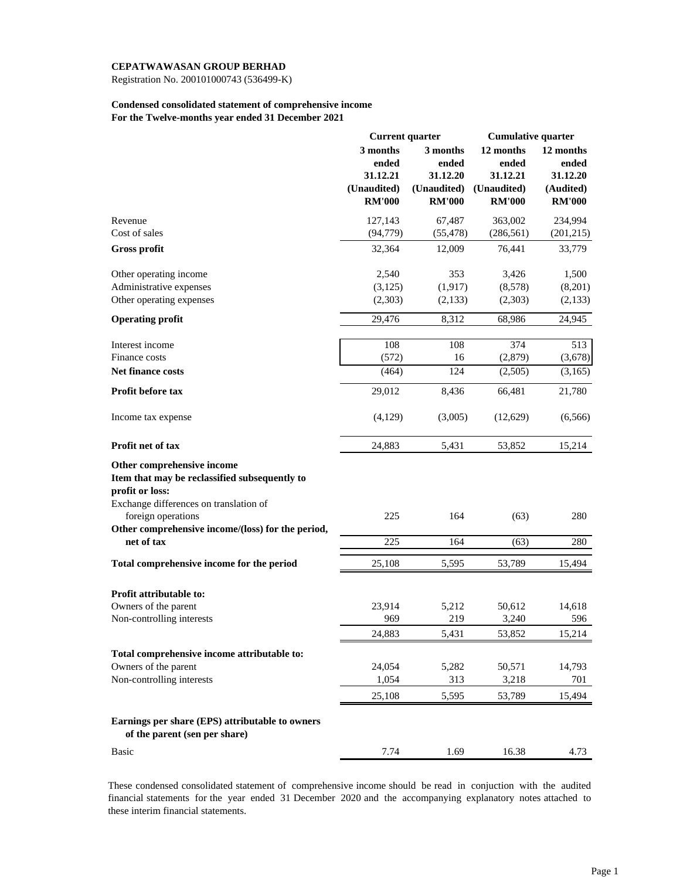Registration No. 200101000743 (536499-K)

### **Condensed consolidated statement of comprehensive income For the Twelve-months year ended 31 December 2021**

|                                                                                                                                          | <b>Current quarter</b> |               | <b>Cumulative quarter</b> |               |  |
|------------------------------------------------------------------------------------------------------------------------------------------|------------------------|---------------|---------------------------|---------------|--|
|                                                                                                                                          | 3 months               | 3 months      | 12 months                 | 12 months     |  |
|                                                                                                                                          | ended                  | ended         | ended                     | ended         |  |
|                                                                                                                                          | 31.12.21               | 31.12.20      | 31.12.21                  | 31.12.20      |  |
|                                                                                                                                          | (Unaudited)            | (Unaudited)   | (Unaudited)               | (Audited)     |  |
|                                                                                                                                          | <b>RM'000</b>          | <b>RM'000</b> | <b>RM'000</b>             | <b>RM'000</b> |  |
| Revenue                                                                                                                                  | 127,143                | 67,487        | 363,002                   | 234,994       |  |
| Cost of sales                                                                                                                            | (94, 779)              | (55, 478)     | (286, 561)                | (201, 215)    |  |
| <b>Gross profit</b>                                                                                                                      | 32,364                 | 12,009        | 76,441                    | 33,779        |  |
| Other operating income                                                                                                                   | 2,540                  | 353           | 3,426                     | 1,500         |  |
| Administrative expenses                                                                                                                  | (3,125)                | (1, 917)      | (8,578)                   | (8,201)       |  |
| Other operating expenses                                                                                                                 | (2,303)                | (2,133)       | (2,303)                   | (2,133)       |  |
| <b>Operating profit</b>                                                                                                                  | 29,476                 | 8,312         | 68,986                    | 24,945        |  |
| Interest income                                                                                                                          | 108                    | 108           | 374                       | 513           |  |
| Finance costs                                                                                                                            | (572)                  | 16            | (2,879)                   | (3,678)       |  |
| <b>Net finance costs</b>                                                                                                                 | (464)                  | 124           | (2,505)                   | (3,165)       |  |
| Profit before tax                                                                                                                        | 29,012                 | 8,436         | 66,481                    | 21,780        |  |
| Income tax expense                                                                                                                       | (4,129)                | (3,005)       | (12,629)                  | (6, 566)      |  |
| Profit net of tax                                                                                                                        | 24,883                 | 5,431         | 53,852                    | 15,214        |  |
| Other comprehensive income<br>Item that may be reclassified subsequently to<br>profit or loss:<br>Exchange differences on translation of |                        |               |                           |               |  |
| foreign operations<br>Other comprehensive income/(loss) for the period,                                                                  | 225                    | 164           | (63)                      | 280           |  |
| net of tax                                                                                                                               | 225                    | 164           | (63)                      | 280           |  |
| Total comprehensive income for the period                                                                                                | 25,108                 | 5,595         | 53,789                    | 15,494        |  |
| Profit attributable to:                                                                                                                  |                        |               |                           |               |  |
|                                                                                                                                          |                        |               |                           |               |  |
| Owners of the parent<br>Non-controlling interests                                                                                        | 23,914<br>969          | 5,212<br>219  | 50,612<br>3,240           | 14,618<br>596 |  |
|                                                                                                                                          | 24,883                 | 5,431         | 53,852                    | 15,214        |  |
|                                                                                                                                          |                        |               |                           |               |  |
| Total comprehensive income attributable to:                                                                                              |                        |               |                           |               |  |
| Owners of the parent                                                                                                                     | 24,054                 | 5,282         | 50,571                    | 14,793        |  |
| Non-controlling interests                                                                                                                | 1,054                  | 313           | 3,218                     | 701           |  |
|                                                                                                                                          | 25,108                 | 5,595         | 53,789                    | 15,494        |  |
| Earnings per share (EPS) attributable to owners<br>of the parent (sen per share)                                                         |                        |               |                           |               |  |
| <b>Basic</b>                                                                                                                             | 7.74                   | 1.69          | 16.38                     | 4.73          |  |

These condensed consolidated statement of comprehensive income should be read in conjuction with the audited financial statements for the year ended 31 December 2020 and the accompanying explanatory notes attached to these interim financial statements.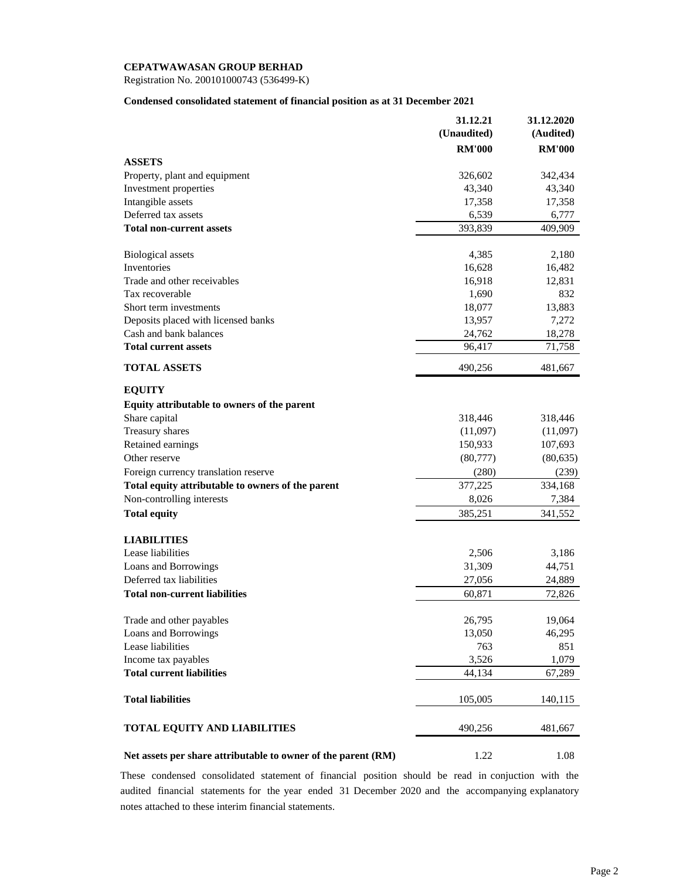Registration No. 200101000743 (536499-K)

### **Condensed consolidated statement of financial position as at 31 December 2021**

|                                                               | 31.12.21      | 31.12.2020    |
|---------------------------------------------------------------|---------------|---------------|
|                                                               | (Unaudited)   | (Audited)     |
|                                                               | <b>RM'000</b> | <b>RM'000</b> |
| <b>ASSETS</b>                                                 |               |               |
| Property, plant and equipment                                 | 326,602       | 342,434       |
| Investment properties                                         | 43,340        | 43,340        |
| Intangible assets                                             | 17,358        | 17,358        |
| Deferred tax assets                                           | 6,539         | 6,777         |
| <b>Total non-current assets</b>                               | 393,839       | 409,909       |
| <b>Biological</b> assets                                      | 4,385         | 2,180         |
| Inventories                                                   | 16,628        | 16,482        |
| Trade and other receivables                                   | 16,918        | 12,831        |
| Tax recoverable                                               | 1,690         | 832           |
| Short term investments                                        | 18,077        | 13,883        |
| Deposits placed with licensed banks                           | 13,957        | 7,272         |
| Cash and bank balances                                        | 24,762        | 18,278        |
| <b>Total current assets</b>                                   | 96,417        | 71,758        |
| <b>TOTAL ASSETS</b>                                           | 490,256       | 481,667       |
| <b>EQUITY</b>                                                 |               |               |
| Equity attributable to owners of the parent                   |               |               |
| Share capital                                                 | 318,446       | 318,446       |
| Treasury shares                                               | (11,097)      | (11,097)      |
| Retained earnings                                             | 150,933       | 107,693       |
| Other reserve                                                 | (80,777)      | (80, 635)     |
| Foreign currency translation reserve                          | (280)         | (239)         |
| Total equity attributable to owners of the parent             | 377,225       | 334,168       |
| Non-controlling interests                                     | 8,026         | 7,384         |
| <b>Total equity</b>                                           | 385,251       | 341,552       |
| <b>LIABILITIES</b>                                            |               |               |
| Lease liabilities                                             | 2,506         | 3,186         |
| Loans and Borrowings                                          | 31,309        | 44,751        |
| Deferred tax liabilities                                      | 27,056        | 24,889        |
| <b>Total non-current liabilities</b>                          | 60,871        | 72,826        |
| Trade and other payables                                      | 26,795        | 19,064        |
| Loans and Borrowings                                          | 13,050        | 46,295        |
| Lease liabilities                                             | 763           | 851           |
| Income tax payables                                           | 3,526         | 1,079         |
| <b>Total current liabilities</b>                              | 44,134        | 67,289        |
| <b>Total liabilities</b>                                      | 105,005       | 140,115       |
| <b>TOTAL EQUITY AND LIABILITIES</b>                           | 490,256       | 481,667       |
| Net assets per share attributable to owner of the parent (RM) | 1.22          | 1.08          |

These condensed consolidated statement of financial position should be read in conjuction with the audited financial statements for the year ended 31 December 2020 and the accompanying explanatory notes attached to these interim financial statements.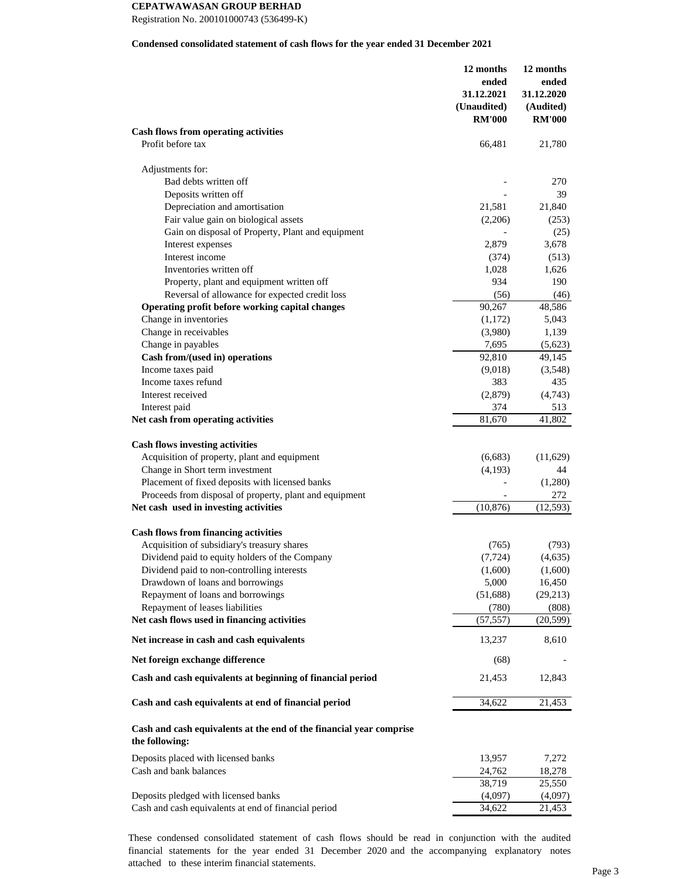Registration No. 200101000743 (536499-K)

#### **Condensed consolidated statement of cash flows for the year ended 31 December 2021**

|                                                                                       | 12 months<br>ended<br>31.12.2021 | 12 months<br>ended<br>31.12.2020 |
|---------------------------------------------------------------------------------------|----------------------------------|----------------------------------|
|                                                                                       | (Unaudited)                      | (Audited)                        |
|                                                                                       | <b>RM'000</b>                    | <b>RM'000</b>                    |
| Cash flows from operating activities                                                  |                                  |                                  |
| Profit before tax                                                                     | 66,481                           | 21,780                           |
| Adjustments for:                                                                      |                                  |                                  |
| Bad debts written off                                                                 |                                  | 270                              |
| Deposits written off                                                                  |                                  | 39                               |
| Depreciation and amortisation                                                         | 21,581                           | 21,840                           |
| Fair value gain on biological assets                                                  | (2,206)                          | (253)                            |
| Gain on disposal of Property, Plant and equipment                                     |                                  | (25)                             |
| Interest expenses                                                                     | 2,879                            | 3,678                            |
| Interest income                                                                       | (374)                            | (513)                            |
| Inventories written off                                                               | 1,028                            | 1,626                            |
| Property, plant and equipment written off                                             | 934                              | 190                              |
| Reversal of allowance for expected credit loss                                        | (56)                             | (46)                             |
| Operating profit before working capital changes                                       | 90,267                           | 48,586                           |
| Change in inventories                                                                 | (1,172)                          | 5,043                            |
| Change in receivables                                                                 | (3,980)                          | 1,139                            |
| Change in payables                                                                    | 7,695                            | (5,623)                          |
| Cash from/(used in) operations                                                        | 92,810                           | 49,145                           |
| Income taxes paid                                                                     | (9,018)                          | (3,548)                          |
| Income taxes refund                                                                   | 383                              | 435                              |
| Interest received                                                                     | (2,879)                          | (4,743)                          |
| Interest paid                                                                         | 374                              | 513                              |
| Net cash from operating activities                                                    | 81,670                           | 41,802                           |
| <b>Cash flows investing activities</b>                                                |                                  |                                  |
| Acquisition of property, plant and equipment                                          | (6,683)                          | (11,629)                         |
| Change in Short term investment                                                       | (4,193)                          | 44                               |
| Placement of fixed deposits with licensed banks                                       |                                  | (1,280)                          |
| Proceeds from disposal of property, plant and equipment                               |                                  | 272                              |
| Net cash used in investing activities                                                 | (10, 876)                        | (12, 593)                        |
| <b>Cash flows from financing activities</b>                                           |                                  |                                  |
| Acquisition of subsidiary's treasury shares                                           | (765)                            | (793)                            |
| Dividend paid to equity holders of the Company                                        | (7, 724)                         | (4,635)                          |
| Dividend paid to non-controlling interests                                            | (1,600)                          | (1,600)                          |
| Drawdown of loans and borrowings                                                      | 5,000                            | 16,450                           |
| Repayment of loans and borrowings                                                     | (51,688)                         | (29,213)                         |
| Repayment of leases liabilities                                                       | (780)                            | (808)                            |
| Net cash flows used in financing activities                                           | (57, 557)                        | (20, 599)                        |
| Net increase in cash and cash equivalents                                             | 13,237                           | 8,610                            |
| Net foreign exchange difference                                                       | (68)                             |                                  |
| Cash and cash equivalents at beginning of financial period                            | 21,453                           | 12,843                           |
| Cash and cash equivalents at end of financial period                                  | 34,622                           | 21,453                           |
| Cash and cash equivalents at the end of the financial year comprise<br>the following: |                                  |                                  |
| Deposits placed with licensed banks                                                   | 13,957                           | 7,272                            |
| Cash and bank balances                                                                | 24,762                           | 18,278                           |
|                                                                                       | 38,719                           | 25,550                           |
| Deposits pledged with licensed banks                                                  | (4,097)                          | (4,097)                          |
| Cash and cash equivalents at end of financial period                                  | 34,622                           | 21,453                           |

These condensed consolidated statement of cash flows should be read in conjunction with the audited financial statements for the year ended 31 December 2020 and the accompanying explanatory notes attached to these interim financial statements.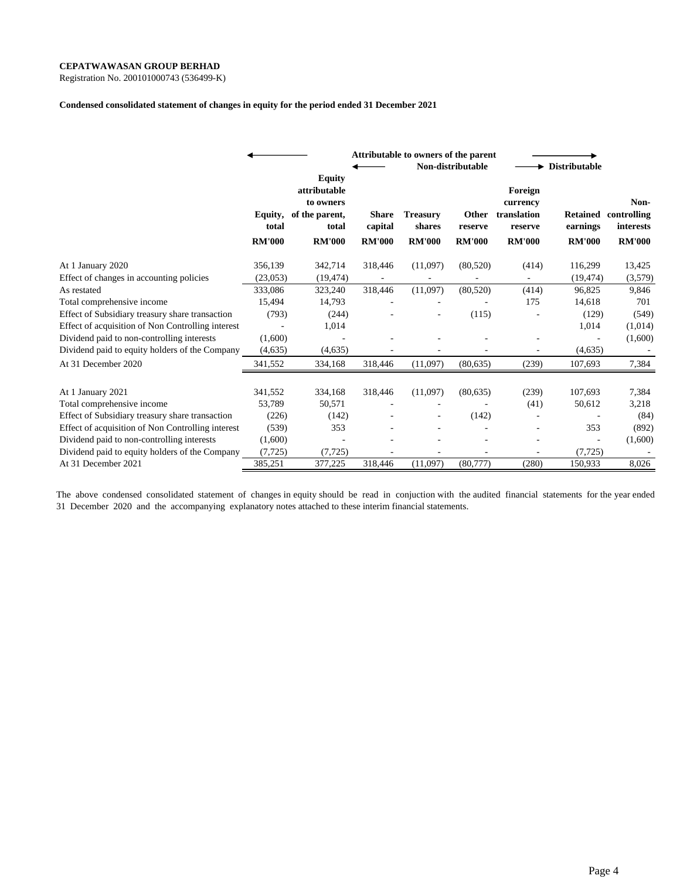Registration No. 200101000743 (536499-K)

#### **Condensed consolidated statement of changes in equity for the period ended 31 December 2021**

|                                                   |                                   | Attributable to owners of the parent<br>Non-distributable                              |                                          |                                            |                                   |                                                                | <b>Distributable</b>                         |                                                   |  |
|---------------------------------------------------|-----------------------------------|----------------------------------------------------------------------------------------|------------------------------------------|--------------------------------------------|-----------------------------------|----------------------------------------------------------------|----------------------------------------------|---------------------------------------------------|--|
|                                                   | Equity,<br>total<br><b>RM'000</b> | <b>Equity</b><br>attributable<br>to owners<br>of the parent,<br>total<br><b>RM'000</b> | <b>Share</b><br>capital<br><b>RM'000</b> | <b>Treasury</b><br>shares<br><b>RM'000</b> | Other<br>reserve<br><b>RM'000</b> | Foreign<br>currency<br>translation<br>reserve<br><b>RM'000</b> | <b>Retained</b><br>earnings<br><b>RM'000</b> | Non-<br>controlling<br>interests<br><b>RM'000</b> |  |
| At 1 January 2020                                 | 356,139                           | 342,714                                                                                | 318,446                                  | (11,097)                                   | (80, 520)                         | (414)                                                          | 116,299                                      | 13,425                                            |  |
| Effect of changes in accounting policies          | (23, 053)                         | (19, 474)                                                                              |                                          |                                            |                                   |                                                                | (19, 474)                                    | (3,579)                                           |  |
| As restated                                       | 333,086                           | 323,240                                                                                | 318,446                                  | (11,097)                                   | (80, 520)                         | (414)                                                          | 96,825                                       | 9,846                                             |  |
| Total comprehensive income                        | 15,494                            | 14,793                                                                                 |                                          |                                            |                                   | 175                                                            | 14,618                                       | 701                                               |  |
| Effect of Subsidiary treasury share transaction   | (793)                             | (244)                                                                                  |                                          |                                            | (115)                             |                                                                | (129)                                        | (549)                                             |  |
| Effect of acquisition of Non Controlling interest |                                   | 1,014                                                                                  |                                          |                                            |                                   |                                                                | 1,014                                        | (1,014)                                           |  |
| Dividend paid to non-controlling interests        | (1,600)                           |                                                                                        |                                          |                                            |                                   |                                                                |                                              | (1,600)                                           |  |
| Dividend paid to equity holders of the Company    | (4,635)                           | (4,635)                                                                                |                                          |                                            |                                   |                                                                | (4, 635)                                     |                                                   |  |
| At 31 December 2020                               | 341,552                           | 334,168                                                                                | 318,446                                  | (11,097)                                   | (80, 635)                         | (239)                                                          | 107,693                                      | 7,384                                             |  |
| At 1 January 2021                                 | 341,552                           | 334,168                                                                                | 318,446                                  | (11,097)                                   | (80, 635)                         | (239)                                                          | 107,693                                      | 7,384                                             |  |
| Total comprehensive income                        | 53,789                            | 50,571                                                                                 |                                          |                                            |                                   | (41)                                                           | 50,612                                       | 3,218                                             |  |
| Effect of Subsidiary treasury share transaction   | (226)                             | (142)                                                                                  |                                          | ٠                                          | (142)                             |                                                                |                                              | (84)                                              |  |
| Effect of acquisition of Non Controlling interest | (539)                             | 353                                                                                    |                                          |                                            |                                   |                                                                | 353                                          | (892)                                             |  |
| Dividend paid to non-controlling interests        | (1,600)                           |                                                                                        |                                          |                                            |                                   |                                                                |                                              | (1,600)                                           |  |
| Dividend paid to equity holders of the Company    | (7, 725)                          | (7, 725)                                                                               |                                          |                                            |                                   | $\sim$                                                         | (7, 725)                                     |                                                   |  |
| At 31 December 2021                               | 385,251                           | 377,225                                                                                | 318,446                                  | (11,097)                                   | (80,777)                          | (280)                                                          | 150,933                                      | 8,026                                             |  |

The above condensed consolidated statement of changes in equity should be read in conjuction with the audited financial statements for the year ended 31 December 2020 and the accompanying explanatory notes attached to these interim financial statements.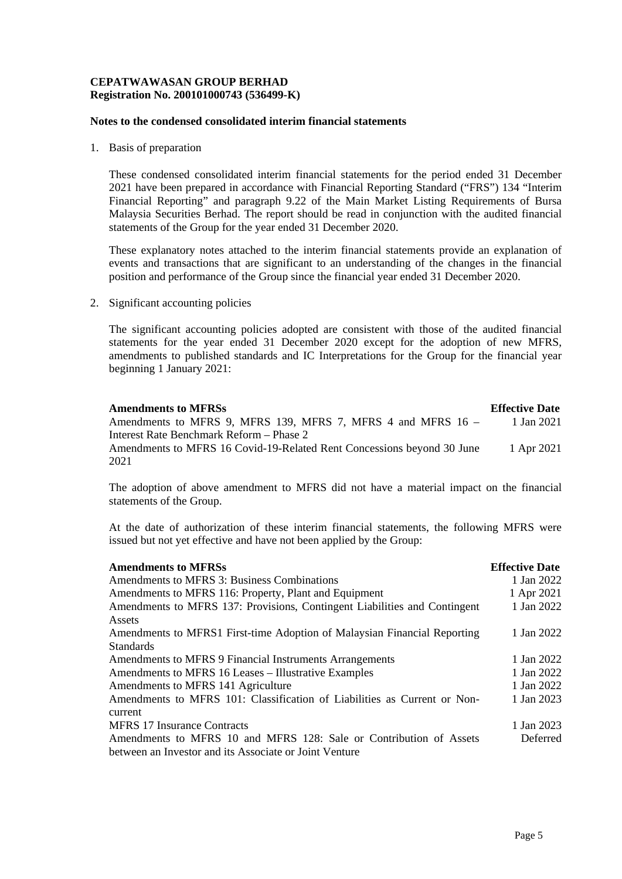## **CEPATWAWASAN GROUP BERHAD Registration No. 200101000743 (536499-K)**

## **Notes to the condensed consolidated interim financial statements**

1. Basis of preparation

These condensed consolidated interim financial statements for the period ended 31 December 2021 have been prepared in accordance with Financial Reporting Standard ("FRS") 134 "Interim Financial Reporting" and paragraph 9.22 of the Main Market Listing Requirements of Bursa Malaysia Securities Berhad. The report should be read in conjunction with the audited financial statements of the Group for the year ended 31 December 2020.

These explanatory notes attached to the interim financial statements provide an explanation of events and transactions that are significant to an understanding of the changes in the financial position and performance of the Group since the financial year ended 31 December 2020.

2. Significant accounting policies

The significant accounting policies adopted are consistent with those of the audited financial statements for the year ended 31 December 2020 except for the adoption of new MFRS, amendments to published standards and IC Interpretations for the Group for the financial year beginning 1 January 2021:

| <b>Amendments to MFRSs</b>                                             | <b>Effective Date</b> |
|------------------------------------------------------------------------|-----------------------|
| Amendments to MFRS 9, MFRS 139, MFRS 7, MFRS 4 and MFRS 16 –           | 1 Jan 2021            |
| Interest Rate Benchmark Reform – Phase 2                               |                       |
| Amendments to MFRS 16 Covid-19-Related Rent Concessions beyond 30 June | 1 Apr 2021            |
| 2021                                                                   |                       |

The adoption of above amendment to MFRS did not have a material impact on the financial statements of the Group.

At the date of authorization of these interim financial statements, the following MFRS were issued but not yet effective and have not been applied by the Group:

| <b>Amendments to MFRSs</b>                                                | <b>Effective Date</b> |
|---------------------------------------------------------------------------|-----------------------|
| Amendments to MFRS 3: Business Combinations                               | 1 Jan 2022            |
| Amendments to MFRS 116: Property, Plant and Equipment                     | 1 Apr 2021            |
| Amendments to MFRS 137: Provisions, Contingent Liabilities and Contingent | 1 Jan 2022            |
| Assets                                                                    |                       |
| Amendments to MFRS1 First-time Adoption of Malaysian Financial Reporting  | 1 Jan 2022            |
| <b>Standards</b>                                                          |                       |
| Amendments to MFRS 9 Financial Instruments Arrangements                   | 1 Jan 2022            |
| Amendments to MFRS 16 Leases – Illustrative Examples                      | 1 Jan 2022            |
| Amendments to MFRS 141 Agriculture                                        | 1 Jan 2022            |
| Amendments to MFRS 101: Classification of Liabilities as Current or Non-  | 1 Jan 2023            |
| current                                                                   |                       |
| <b>MFRS 17 Insurance Contracts</b>                                        | 1 Jan 2023            |
| Amendments to MFRS 10 and MFRS 128: Sale or Contribution of Assets        | Deferred              |
| between an Investor and its Associate or Joint Venture                    |                       |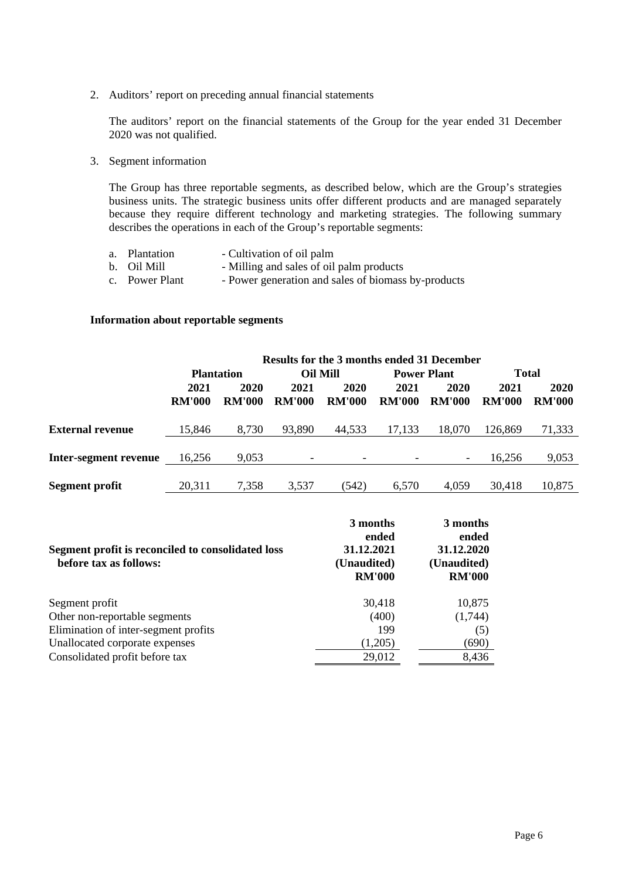2. Auditors' report on preceding annual financial statements

The auditors' report on the financial statements of the Group for the year ended 31 December 2020 was not qualified.

3. Segment information

The Group has three reportable segments, as described below, which are the Group's strategies business units. The strategic business units offer different products and are managed separately because they require different technology and marketing strategies. The following summary describes the operations in each of the Group's reportable segments:

| a. Plantation  | - Cultivation of oil palm                           |
|----------------|-----------------------------------------------------|
| b. Oil Mill    | - Milling and sales of oil palm products            |
| c. Power Plant | - Power generation and sales of biomass by-products |

## **Information about reportable segments**

|                         | <b>Results for the 3 months ended 31 December</b> |                   |                          |                          |                    |               |               |               |  |
|-------------------------|---------------------------------------------------|-------------------|--------------------------|--------------------------|--------------------|---------------|---------------|---------------|--|
|                         |                                                   | <b>Plantation</b> | <b>Oil Mill</b>          |                          | <b>Power Plant</b> |               | <b>Total</b>  |               |  |
|                         | 2021                                              | 2020              | 2021                     | 2020                     | 2021               | 2020          | 2021          | 2020          |  |
|                         | <b>RM'000</b>                                     | <b>RM'000</b>     | <b>RM'000</b>            | <b>RM'000</b>            | <b>RM'000</b>      | <b>RM'000</b> | <b>RM'000</b> | <b>RM'000</b> |  |
| <b>External revenue</b> | 15,846                                            | 8,730             | 93,890                   | 44,533                   | 17,133             | 18.070        | 126,869       | 71,333        |  |
| Inter-segment revenue   | 16,256                                            | 9,053             | $\overline{\phantom{a}}$ | $\overline{\phantom{a}}$ |                    |               | 16,256        | 9,053         |  |
| <b>Segment profit</b>   | 20,311                                            | 7,358             | 3,537                    | (542)                    | 6.570              | 4.059         | 30.418        | 10,875        |  |

| Segment profit is reconciled to consolidated loss<br>before tax as follows: | 3 months<br>ended<br>31.12.2021<br>(Unaudited)<br><b>RM'000</b> | 3 months<br>ended<br>31.12.2020<br>(Unaudited)<br><b>RM'000</b> |
|-----------------------------------------------------------------------------|-----------------------------------------------------------------|-----------------------------------------------------------------|
| Segment profit                                                              | 30,418                                                          | 10,875                                                          |
| Other non-reportable segments                                               | (400)                                                           | (1,744)                                                         |
| Elimination of inter-segment profits                                        | 199                                                             | (5)                                                             |
| Unallocated corporate expenses                                              | (1,205)                                                         | (690)                                                           |
| Consolidated profit before tax                                              | 29,012                                                          | 8,436                                                           |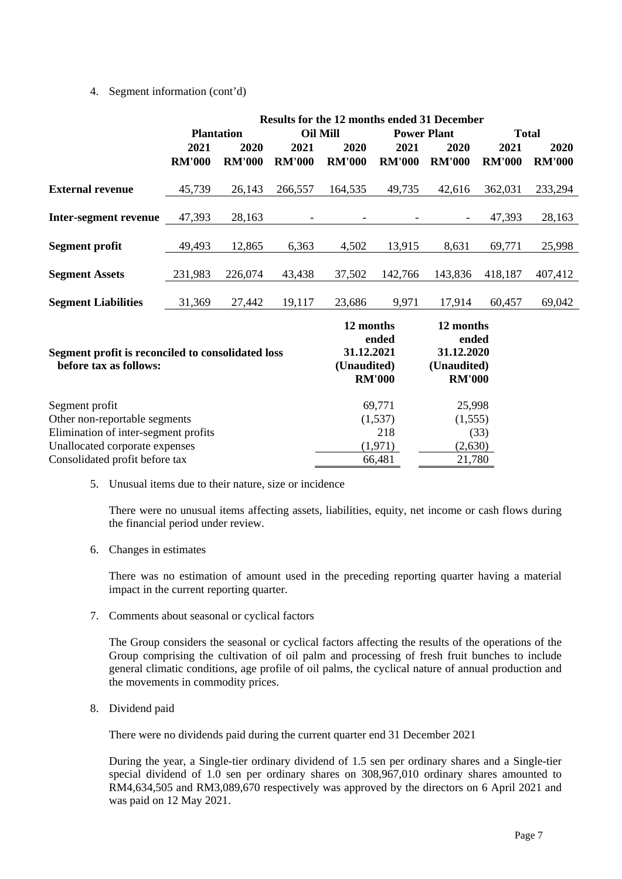## 4. Segment information (cont'd)

|                                                                             |               |                   |                 | Results for the 12 months ended 31 December |               |                     |               |               |
|-----------------------------------------------------------------------------|---------------|-------------------|-----------------|---------------------------------------------|---------------|---------------------|---------------|---------------|
|                                                                             |               | <b>Plantation</b> | <b>Oil Mill</b> |                                             |               | <b>Power Plant</b>  | <b>Total</b>  |               |
|                                                                             | 2021          | 2020              | 2021            | 2020                                        | 2021          | 2020                | 2021          | 2020          |
|                                                                             | <b>RM'000</b> | <b>RM'000</b>     | <b>RM'000</b>   | <b>RM'000</b>                               | <b>RM'000</b> | <b>RM'000</b>       | <b>RM'000</b> | <b>RM'000</b> |
| <b>External revenue</b>                                                     | 45,739        | 26,143            | 266,557         | 164,535                                     | 49,735        | 42,616              | 362,031       | 233,294       |
| Inter-segment revenue                                                       | 47,393        | 28,163            |                 |                                             |               |                     | 47,393        | 28,163        |
| <b>Segment profit</b>                                                       | 49,493        | 12,865            | 6,363           | 4,502                                       | 13,915        | 8,631               | 69,771        | 25,998        |
| <b>Segment Assets</b>                                                       | 231,983       | 226,074           | 43,438          | 37,502                                      | 142,766       | 143,836             | 418,187       | 407,412       |
| <b>Segment Liabilities</b>                                                  | 31,369        | 27,442            | 19,117          | 23,686                                      | 9,971         | 17,914              | 60,457        | 69,042        |
|                                                                             |               |                   |                 | 12 months                                   |               | 12 months           |               |               |
|                                                                             |               |                   |                 | 31.12.2021                                  | ended         | ended<br>31.12.2020 |               |               |
| Segment profit is reconciled to consolidated loss<br>before tax as follows: |               |                   |                 | (Unaudited)                                 |               | (Unaudited)         |               |               |
|                                                                             |               |                   |                 | <b>RM'000</b>                               | <b>RM'000</b> |                     |               |               |
| Segment profit                                                              |               |                   |                 |                                             | 69,771        | 25,998              |               |               |
| Other non-reportable segments                                               |               |                   |                 |                                             | (1,537)       | (1, 555)            |               |               |
| Elimination of inter-segment profits                                        |               |                   |                 | 218                                         |               | (33)                |               |               |
| Unallocated corporate expenses                                              |               |                   |                 |                                             | (1,971)       | (2,630)             |               |               |
| Consolidated profit before tax                                              |               |                   |                 |                                             | 66,481        | 21,780              |               |               |

5. Unusual items due to their nature, size or incidence

There were no unusual items affecting assets, liabilities, equity, net income or cash flows during the financial period under review.

6. Changes in estimates

There was no estimation of amount used in the preceding reporting quarter having a material impact in the current reporting quarter.

7. Comments about seasonal or cyclical factors

The Group considers the seasonal or cyclical factors affecting the results of the operations of the Group comprising the cultivation of oil palm and processing of fresh fruit bunches to include general climatic conditions, age profile of oil palms, the cyclical nature of annual production and the movements in commodity prices.

8. Dividend paid

There were no dividends paid during the current quarter end 31 December 2021

During the year, a Single-tier ordinary dividend of 1.5 sen per ordinary shares and a Single-tier special dividend of 1.0 sen per ordinary shares on 308,967,010 ordinary shares amounted to RM4,634,505 and RM3,089,670 respectively was approved by the directors on 6 April 2021 and was paid on 12 May 2021.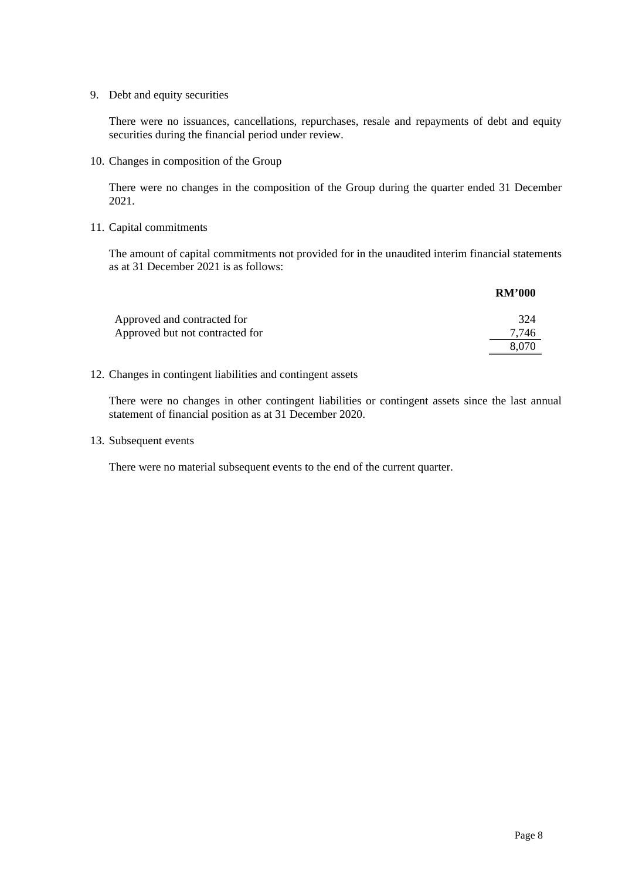9. Debt and equity securities

There were no issuances, cancellations, repurchases, resale and repayments of debt and equity securities during the financial period under review.

10. Changes in composition of the Group

There were no changes in the composition of the Group during the quarter ended 31 December 2021.

## 11. Capital commitments

The amount of capital commitments not provided for in the unaudited interim financial statements as at 31 December 2021 is as follows:

|                                 | <b>RM'000</b> |
|---------------------------------|---------------|
| Approved and contracted for     | 324           |
| Approved but not contracted for | 7.746         |
|                                 | 8.070         |

## 12. Changes in contingent liabilities and contingent assets

There were no changes in other contingent liabilities or contingent assets since the last annual statement of financial position as at 31 December 2020.

13. Subsequent events

There were no material subsequent events to the end of the current quarter.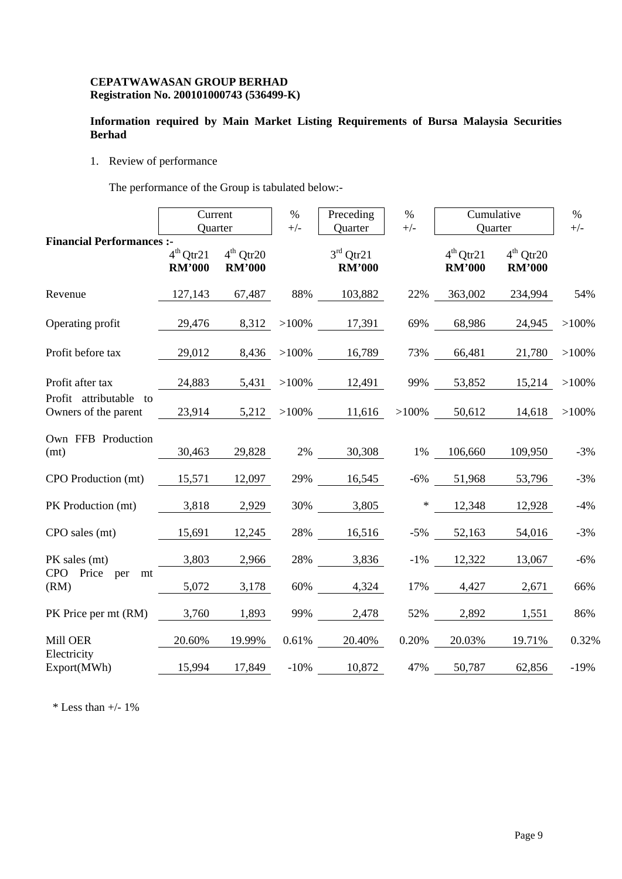## **CEPATWAWASAN GROUP BERHAD Registration No. 200101000743 (536499-K)**

# **Information required by Main Market Listing Requirements of Bursa Malaysia Securities Berhad**

1. Review of performance

The performance of the Group is tabulated below:-

|                                                | Current<br>Quarter           |                              | $\%$<br>$+/-$ | Preceding<br>Quarter         | $\%$<br>$+/-$ | Cumulative<br>Quarter        |                              | $\%$<br>$+/-$ |
|------------------------------------------------|------------------------------|------------------------------|---------------|------------------------------|---------------|------------------------------|------------------------------|---------------|
| <b>Financial Performances :-</b>               | $4th$ Qtr21<br><b>RM'000</b> | $4th$ Qtr20<br><b>RM'000</b> |               | $3rd$ Qtr21<br><b>RM'000</b> |               | $4th$ Otr21<br><b>RM'000</b> | $4th$ Otr20<br><b>RM'000</b> |               |
| Revenue                                        |                              | 127,143 67,487               |               | 88% 103,882                  | 22%           | 363,002                      | 234,994                      | 54%           |
| Operating profit                               | 29,476                       |                              |               | 8,312 > 100% 17,391          |               | 69% 68,986                   | 24,945                       | $>100\%$      |
| Profit before tax                              | 29,012                       |                              |               | 8,436 >100% 16,789           |               | 73% 66,481                   | 21,780                       | $>100\%$      |
| Profit after tax                               | 24,883                       |                              |               | 5,431 > 100% 12,491          | 99%           |                              | 53,852 15,214                | $>100\%$      |
| Profit attributable to<br>Owners of the parent | 23,914                       |                              |               | $5,212 > 100\%$ 11,616       |               | $>100\%$ 50,612              | 14,618                       | $>100\%$      |
| Own FFB Production<br>(mt)                     | 30,463                       | 29,828                       |               | 2\% 30,308                   |               | 1% 106,660                   | 109,950                      | $-3%$         |
| CPO Production (mt)                            | 15,571                       | 12,097                       |               | 29% 16,545                   |               | $-6\%$ 51,968                | 53,796                       | $-3%$         |
| PK Production (mt)                             | 3,818                        | 2,929                        |               | 30% 3,805                    | $*$           | 12,348                       | 12,928                       | $-4%$         |
| CPO sales (mt)                                 | 15,691                       | 12,245                       |               | 28% 16,516                   | $-5\%$        | 52,163                       | 54,016                       | $-3%$         |
| PK sales (mt)                                  | 3,803                        | 2,966                        |               | 28% 3,836                    |               | $-1\%$ 12,322                | 13,067                       | $-6%$         |
| CPO Price per mt<br>(RM)                       | 5,072                        | 3,178                        |               | 60% 4,324                    | 17%           | 4,427                        | 2,671                        | 66%           |
| PK Price per mt (RM) 3,760                     |                              | 1,893                        |               | 99% 2,478                    |               | 52% 2,892                    | 1,551                        | 86%           |
| Mill OER<br>Electricity                        | 20.60%                       | 19.99%                       |               | 0.61% 20.40%                 | 0.20%         | 20.03%                       | 19.71%                       | 0.32%         |
| Export(MWh)                                    | 15,994                       | 17,849                       |               | $-10\%$ 10,872               | 47%           | 50,787                       | 62,856                       | $-19%$        |

 $*$  Less than  $+/- 1\%$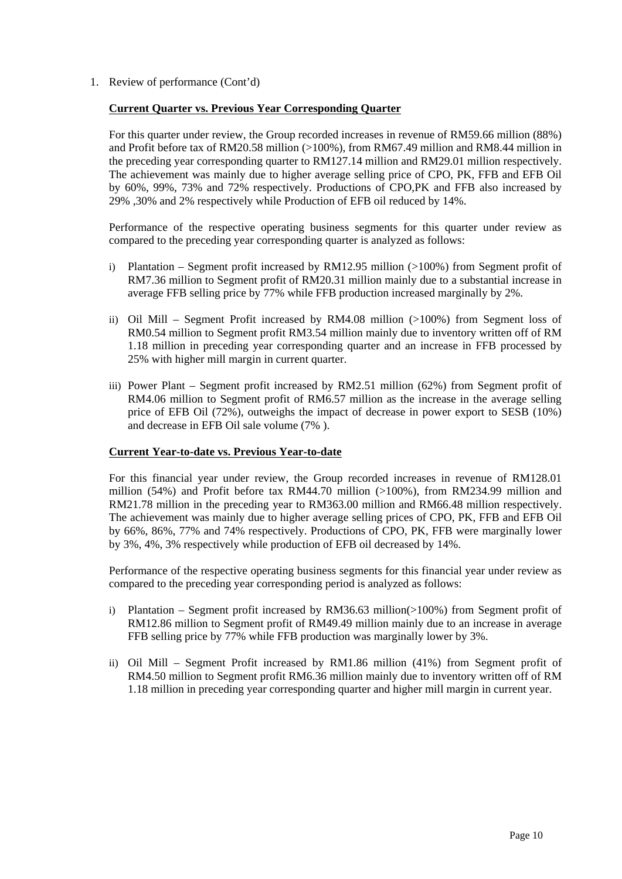1. Review of performance (Cont'd)

## **Current Quarter vs. Previous Year Corresponding Quarter**

For this quarter under review, the Group recorded increases in revenue of RM59.66 million (88%) and Profit before tax of RM20.58 million (>100%), from RM67.49 million and RM8.44 million in the preceding year corresponding quarter to RM127.14 million and RM29.01 million respectively. The achievement was mainly due to higher average selling price of CPO, PK, FFB and EFB Oil by 60%, 99%, 73% and 72% respectively. Productions of CPO,PK and FFB also increased by 29% ,30% and 2% respectively while Production of EFB oil reduced by 14%.

Performance of the respective operating business segments for this quarter under review as compared to the preceding year corresponding quarter is analyzed as follows:

- i) Plantation Segment profit increased by RM12.95 million (>100%) from Segment profit of RM7.36 million to Segment profit of RM20.31 million mainly due to a substantial increase in average FFB selling price by 77% while FFB production increased marginally by 2%.
- ii) Oil Mill Segment Profit increased by RM4.08 million (>100%) from Segment loss of RM0.54 million to Segment profit RM3.54 million mainly due to inventory written off of RM 1.18 million in preceding year corresponding quarter and an increase in FFB processed by 25% with higher mill margin in current quarter.
- iii) Power Plant Segment profit increased by RM2.51 million (62%) from Segment profit of RM4.06 million to Segment profit of RM6.57 million as the increase in the average selling price of EFB Oil (72%), outweighs the impact of decrease in power export to SESB (10%) and decrease in EFB Oil sale volume (7% ).

## **Current Year-to-date vs. Previous Year-to-date**

For this financial year under review, the Group recorded increases in revenue of RM128.01 million (54%) and Profit before tax RM44.70 million (>100%), from RM234.99 million and RM21.78 million in the preceding year to RM363.00 million and RM66.48 million respectively. The achievement was mainly due to higher average selling prices of CPO, PK, FFB and EFB Oil by 66%, 86%, 77% and 74% respectively. Productions of CPO, PK, FFB were marginally lower by 3%, 4%, 3% respectively while production of EFB oil decreased by 14%.

Performance of the respective operating business segments for this financial year under review as compared to the preceding year corresponding period is analyzed as follows:

- i) Plantation Segment profit increased by RM36.63 million(>100%) from Segment profit of RM12.86 million to Segment profit of RM49.49 million mainly due to an increase in average FFB selling price by 77% while FFB production was marginally lower by 3%.
- ii) Oil Mill Segment Profit increased by RM1.86 million (41%) from Segment profit of RM4.50 million to Segment profit RM6.36 million mainly due to inventory written off of RM 1.18 million in preceding year corresponding quarter and higher mill margin in current year.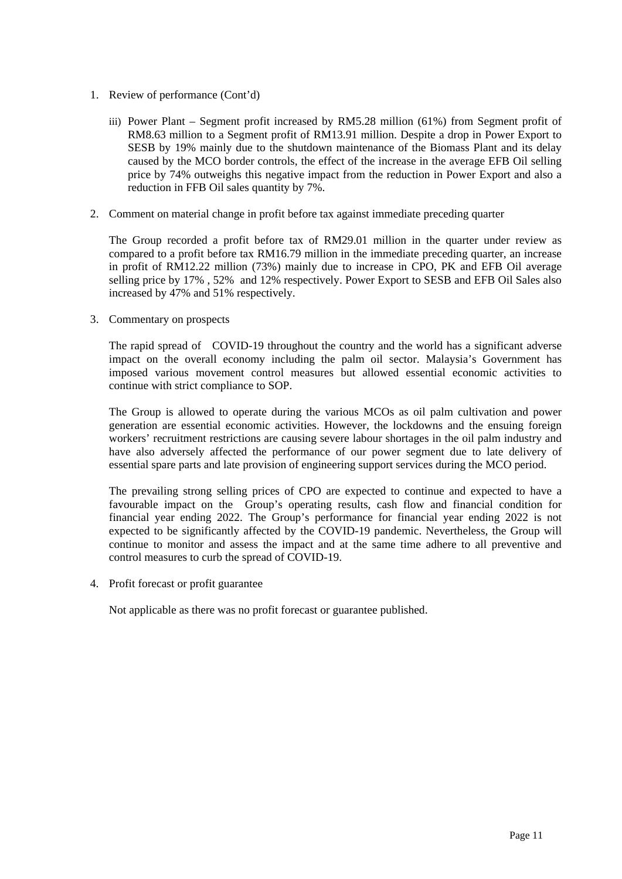- 1. Review of performance (Cont'd)
	- iii) Power Plant Segment profit increased by RM5.28 million (61%) from Segment profit of RM8.63 million to a Segment profit of RM13.91 million. Despite a drop in Power Export to SESB by 19% mainly due to the shutdown maintenance of the Biomass Plant and its delay caused by the MCO border controls, the effect of the increase in the average EFB Oil selling price by 74% outweighs this negative impact from the reduction in Power Export and also a reduction in FFB Oil sales quantity by 7%.
- 2. Comment on material change in profit before tax against immediate preceding quarter

The Group recorded a profit before tax of RM29.01 million in the quarter under review as compared to a profit before tax RM16.79 million in the immediate preceding quarter, an increase in profit of RM12.22 million (73%) mainly due to increase in CPO, PK and EFB Oil average selling price by 17% , 52% and 12% respectively. Power Export to SESB and EFB Oil Sales also increased by 47% and 51% respectively.

3. Commentary on prospects

The rapid spread of COVID-19 throughout the country and the world has a significant adverse impact on the overall economy including the palm oil sector. Malaysia's Government has imposed various movement control measures but allowed essential economic activities to continue with strict compliance to SOP.

The Group is allowed to operate during the various MCOs as oil palm cultivation and power generation are essential economic activities. However, the lockdowns and the ensuing foreign workers' recruitment restrictions are causing severe labour shortages in the oil palm industry and have also adversely affected the performance of our power segment due to late delivery of essential spare parts and late provision of engineering support services during the MCO period.

The prevailing strong selling prices of CPO are expected to continue and expected to have a favourable impact on the Group's operating results, cash flow and financial condition for financial year ending 2022. The Group's performance for financial year ending 2022 is not expected to be significantly affected by the COVID-19 pandemic. Nevertheless, the Group will continue to monitor and assess the impact and at the same time adhere to all preventive and control measures to curb the spread of COVID-19.

4. Profit forecast or profit guarantee

Not applicable as there was no profit forecast or guarantee published.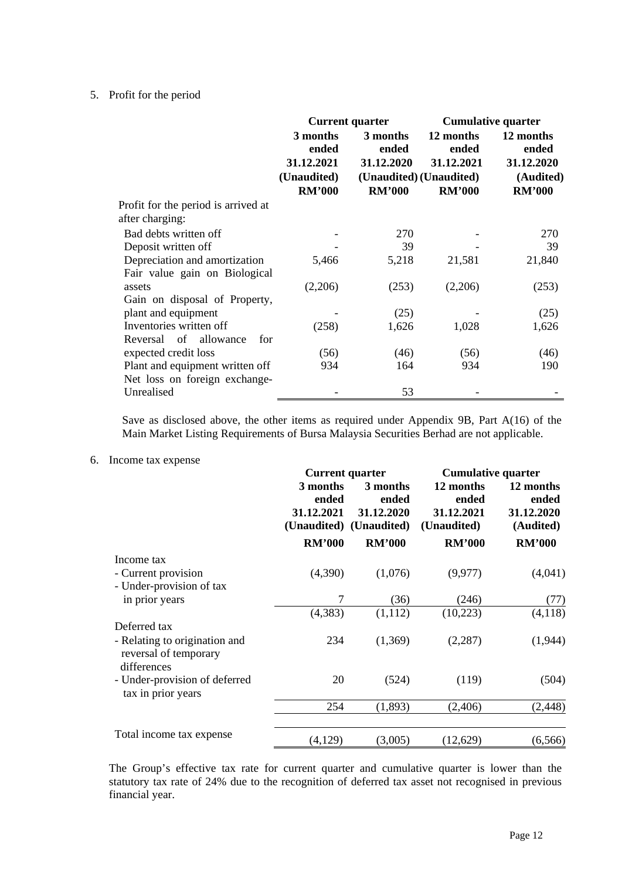## 5. Profit for the period

|                                                                | <b>Current quarter</b>                 |                                 | <b>Cumulative quarter</b>        |                                  |
|----------------------------------------------------------------|----------------------------------------|---------------------------------|----------------------------------|----------------------------------|
|                                                                | 3 months<br>ended<br>31.12.2021        | 3 months<br>ended<br>31.12.2020 | 12 months<br>ended<br>31.12.2021 | 12 months<br>ended<br>31.12.2020 |
|                                                                | (Unaudited)<br>(Unaudited) (Unaudited) |                                 |                                  | (Audited)                        |
| Profit for the period is arrived at<br>after charging:         | <b>RM'000</b>                          | <b>RM'000</b>                   | <b>RM'000</b>                    | <b>RM'000</b>                    |
| Bad debts written off                                          |                                        | 270                             |                                  | 270                              |
| Deposit written off                                            |                                        | 39                              |                                  | 39                               |
| Depreciation and amortization<br>Fair value gain on Biological | 5,466                                  | 5,218                           | 21,581                           | 21,840                           |
| assets                                                         | (2,206)                                | (253)                           | (2,206)                          | (253)                            |
| Gain on disposal of Property,                                  |                                        |                                 |                                  |                                  |
| plant and equipment                                            |                                        | (25)                            |                                  | (25)                             |
| Inventories written off                                        | (258)                                  | 1,626                           | 1,028                            | 1,626                            |
| Reversal of allowance<br>for                                   |                                        |                                 |                                  |                                  |
| expected credit loss                                           | (56)                                   | (46)                            | (56)                             | (46)                             |
| Plant and equipment written off                                | 934                                    | 164                             | 934                              | 190                              |
| Net loss on foreign exchange-                                  |                                        |                                 |                                  |                                  |
| Unrealised                                                     |                                        | 53                              |                                  |                                  |

Save as disclosed above, the other items as required under Appendix 9B, Part A(16) of the Main Market Listing Requirements of Bursa Malaysia Securities Berhad are not applicable.

## 6. Income tax expense

|                                                                       | <b>Current quarter</b>          |                                                            | <b>Cumulative quarter</b>                       |                                               |
|-----------------------------------------------------------------------|---------------------------------|------------------------------------------------------------|-------------------------------------------------|-----------------------------------------------|
|                                                                       | 3 months<br>ended<br>31.12.2021 | 3 months<br>ended<br>31.12.2020<br>(Unaudited) (Unaudited) | 12 months<br>ended<br>31.12.2021<br>(Unaudited) | 12 months<br>ended<br>31.12.2020<br>(Audited) |
|                                                                       | <b>RM'000</b>                   | <b>RM'000</b>                                              | <b>RM'000</b>                                   | <b>RM'000</b>                                 |
| Income tax                                                            |                                 |                                                            |                                                 |                                               |
| - Current provision<br>- Under-provision of tax                       | (4,390)                         | (1,076)                                                    | (9,977)                                         | (4,041)                                       |
| in prior years                                                        | 7                               | (36)                                                       | (246)                                           | (77)                                          |
|                                                                       | (4,383)                         | (1,112)                                                    | (10, 223)                                       | (4,118)                                       |
| Deferred tax                                                          |                                 |                                                            |                                                 |                                               |
| - Relating to origination and<br>reversal of temporary<br>differences | 234                             | (1,369)                                                    | (2,287)                                         | (1,944)                                       |
| - Under-provision of deferred<br>tax in prior years                   | 20                              | (524)                                                      | (119)                                           | (504)                                         |
|                                                                       | 254                             | (1,893)                                                    | (2,406)                                         | (2, 448)                                      |
| Total income tax expense                                              | (4,129)                         | (3,005)                                                    | (12,629)                                        | (6, 566)                                      |

The Group's effective tax rate for current quarter and cumulative quarter is lower than the statutory tax rate of 24% due to the recognition of deferred tax asset not recognised in previous financial year.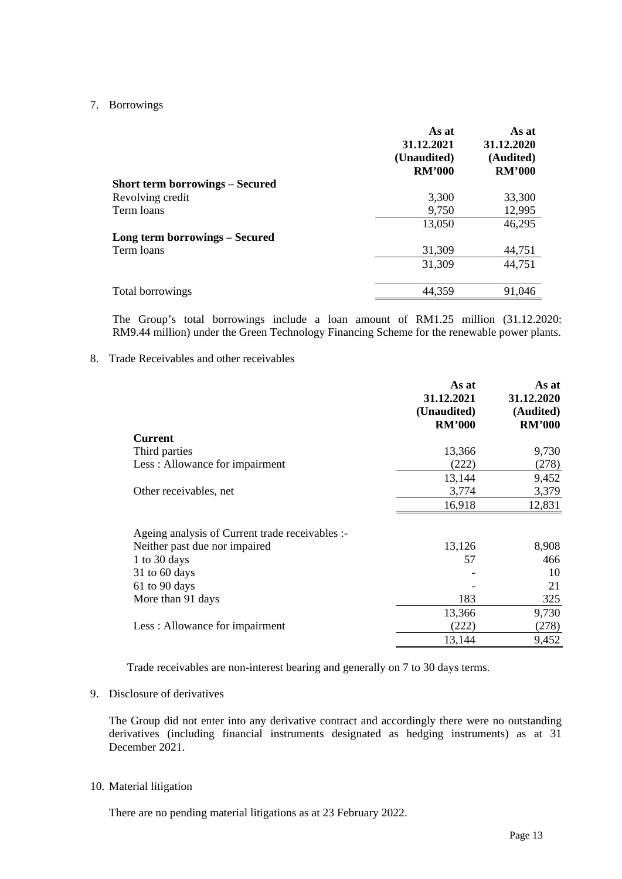## 7. Borrowings

| <b>Short term borrowings – Secured</b> | As at<br>As at<br>31.12.2021<br>31.12.2020<br>(Unaudited)<br>(Audited)<br><b>RM'000</b><br><b>RM'000</b> |
|----------------------------------------|----------------------------------------------------------------------------------------------------------|
|                                        |                                                                                                          |
| Revolving credit<br>3,300              | 33,300                                                                                                   |
| 9,750<br>Term loans                    | 12,995                                                                                                   |
| 13,050                                 | 46,295                                                                                                   |
| <b>Long term borrowings – Secured</b>  |                                                                                                          |
| 31,309<br>Term loans                   | 44,751                                                                                                   |
| 31,309                                 | 44,751                                                                                                   |
| 44,359<br>Total borrowings             | 91,046                                                                                                   |

The Group's total borrowings include a loan amount of RM1.25 million (31.12.2020: RM9.44 million) under the Green Technology Financing Scheme for the renewable power plants.

## 8. Trade Receivables and other receivables

| <b>Current</b><br>Third parties<br>13,366<br>9,730<br>Less: Allowance for impairment<br>(222)<br>(278)<br>13,144<br>9,452<br>3,774<br>3,379<br>Other receivables, net<br>16,918<br>12,831<br>Ageing analysis of Current trade receivables :-<br>8,908<br>Neither past due nor impaired<br>13,126<br>1 to 30 days<br>57<br>466<br>$31$ to 60 days<br>10<br>61 to 90 days<br>21<br>183<br>325<br>More than 91 days<br>9,730<br>13,366<br>Less: Allowance for impairment<br>(222)<br>(278)<br>13,144<br>9,452 | As at<br>31.12.2021<br>(Unaudited)<br><b>RM'000</b> | As at<br>31.12.2020<br>(Audited)<br><b>RM'000</b> |
|------------------------------------------------------------------------------------------------------------------------------------------------------------------------------------------------------------------------------------------------------------------------------------------------------------------------------------------------------------------------------------------------------------------------------------------------------------------------------------------------------------|-----------------------------------------------------|---------------------------------------------------|
|                                                                                                                                                                                                                                                                                                                                                                                                                                                                                                            |                                                     |                                                   |
|                                                                                                                                                                                                                                                                                                                                                                                                                                                                                                            |                                                     |                                                   |
|                                                                                                                                                                                                                                                                                                                                                                                                                                                                                                            |                                                     |                                                   |
|                                                                                                                                                                                                                                                                                                                                                                                                                                                                                                            |                                                     |                                                   |
|                                                                                                                                                                                                                                                                                                                                                                                                                                                                                                            |                                                     |                                                   |
|                                                                                                                                                                                                                                                                                                                                                                                                                                                                                                            |                                                     |                                                   |
|                                                                                                                                                                                                                                                                                                                                                                                                                                                                                                            |                                                     |                                                   |
|                                                                                                                                                                                                                                                                                                                                                                                                                                                                                                            |                                                     |                                                   |
|                                                                                                                                                                                                                                                                                                                                                                                                                                                                                                            |                                                     |                                                   |
|                                                                                                                                                                                                                                                                                                                                                                                                                                                                                                            |                                                     |                                                   |
|                                                                                                                                                                                                                                                                                                                                                                                                                                                                                                            |                                                     |                                                   |
|                                                                                                                                                                                                                                                                                                                                                                                                                                                                                                            |                                                     |                                                   |
|                                                                                                                                                                                                                                                                                                                                                                                                                                                                                                            |                                                     |                                                   |
|                                                                                                                                                                                                                                                                                                                                                                                                                                                                                                            |                                                     |                                                   |
|                                                                                                                                                                                                                                                                                                                                                                                                                                                                                                            |                                                     |                                                   |

Trade receivables are non-interest bearing and generally on 7 to 30 days terms.

# 9. Disclosure of derivatives

The Group did not enter into any derivative contract and accordingly there were no outstanding derivatives (including financial instruments designated as hedging instruments) as at 31 December 2021.

### 10. Material litigation

There are no pending material litigations as at 23 February 2022.